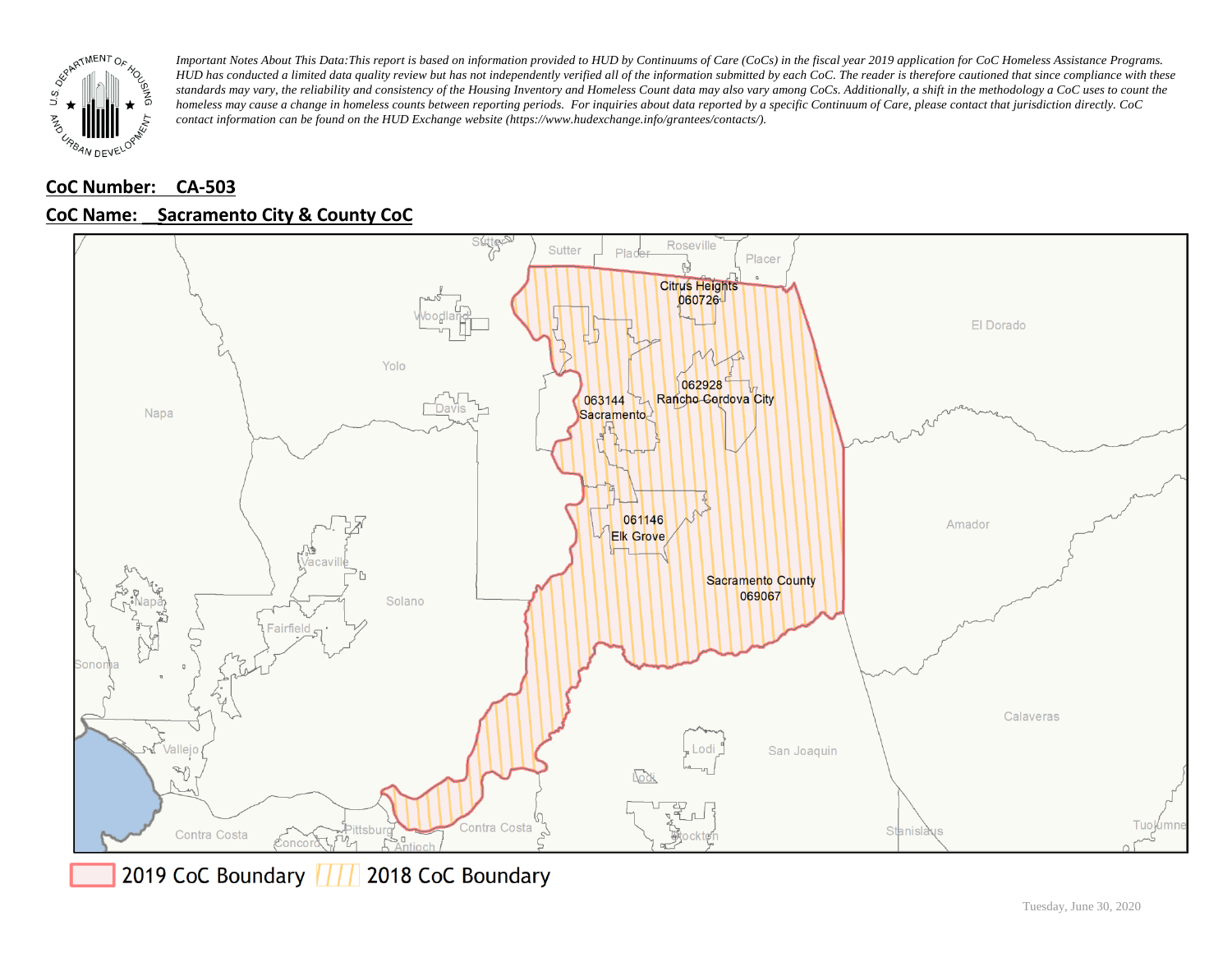

# **CoC Number: CA-503**



### **CoC Name: \_\_ Sacramento City & County CoC**

2019 CoC Boundary | | | 2018 CoC Boundary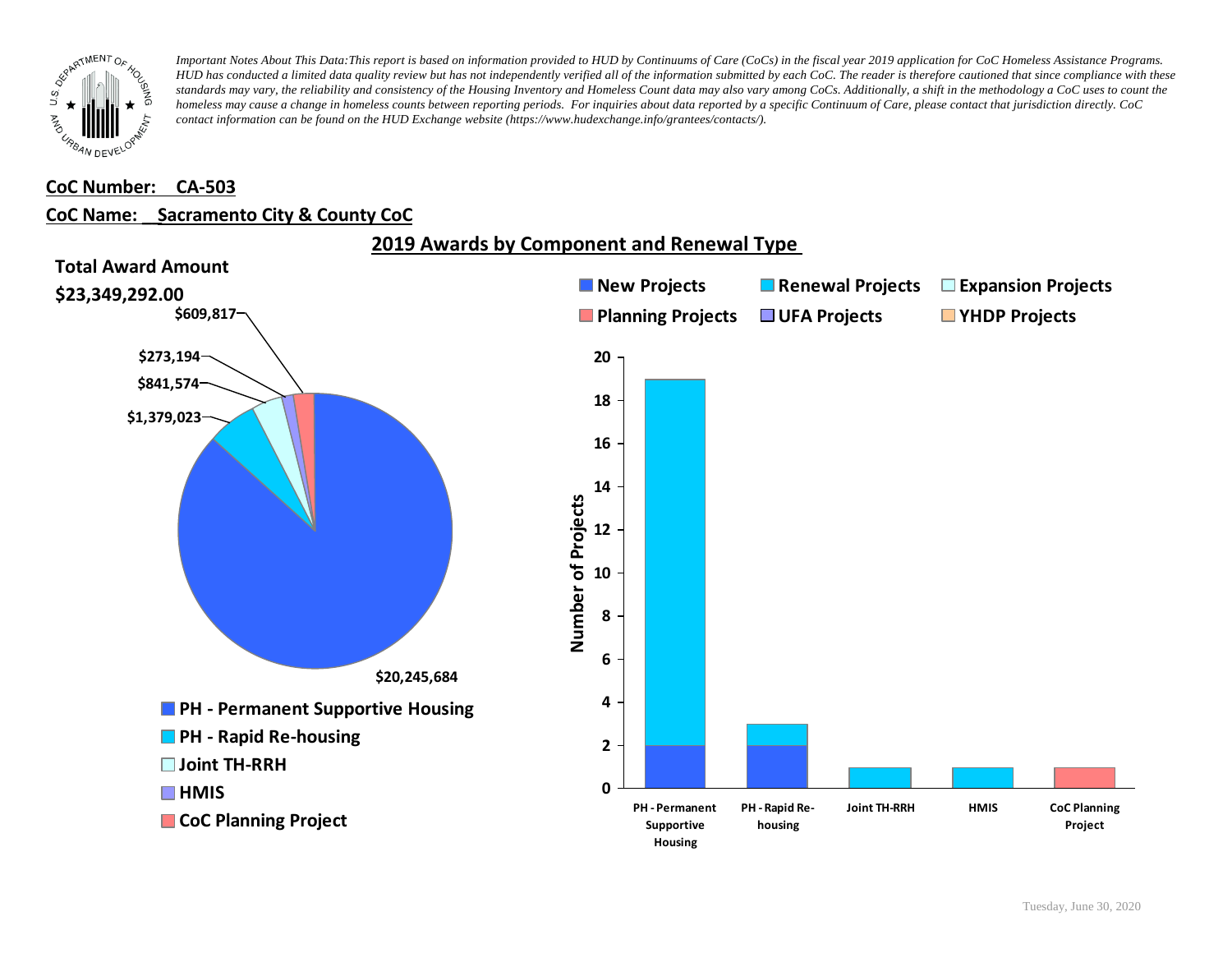

#### **CoC Number: CA-503**

#### **CoC Name: \_\_ Sacramento City & County CoC**

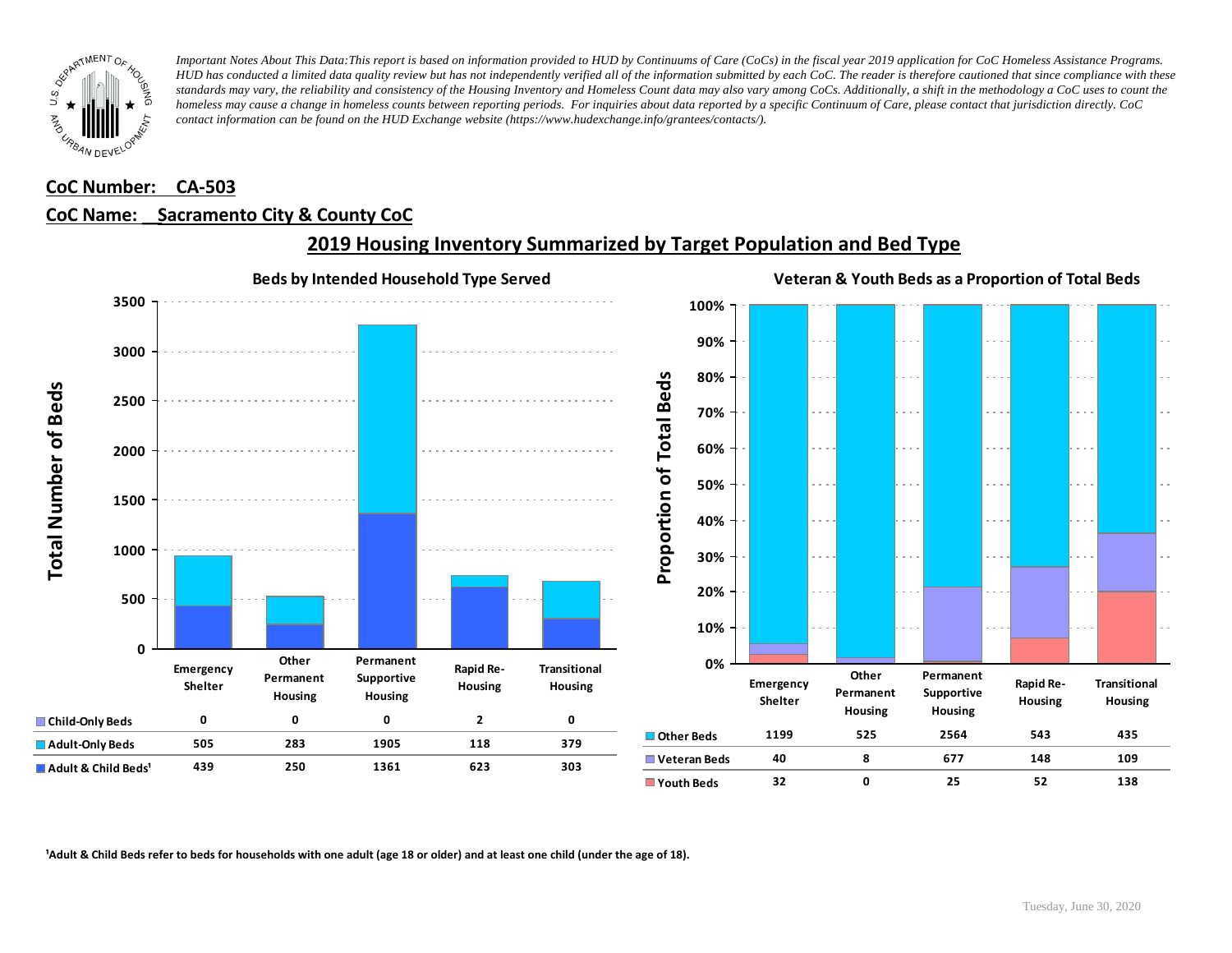

### **CoC Number: CA-503**

### **CoC Name: \_\_ Sacramento City & County CoC**



# **2019 Housing Inventory Summarized by Target Population and Bed Type**

<sup>1</sup> Adult & Child Beds refer to beds for households with one adult (age 18 or older) and at least one child (under the age of 18).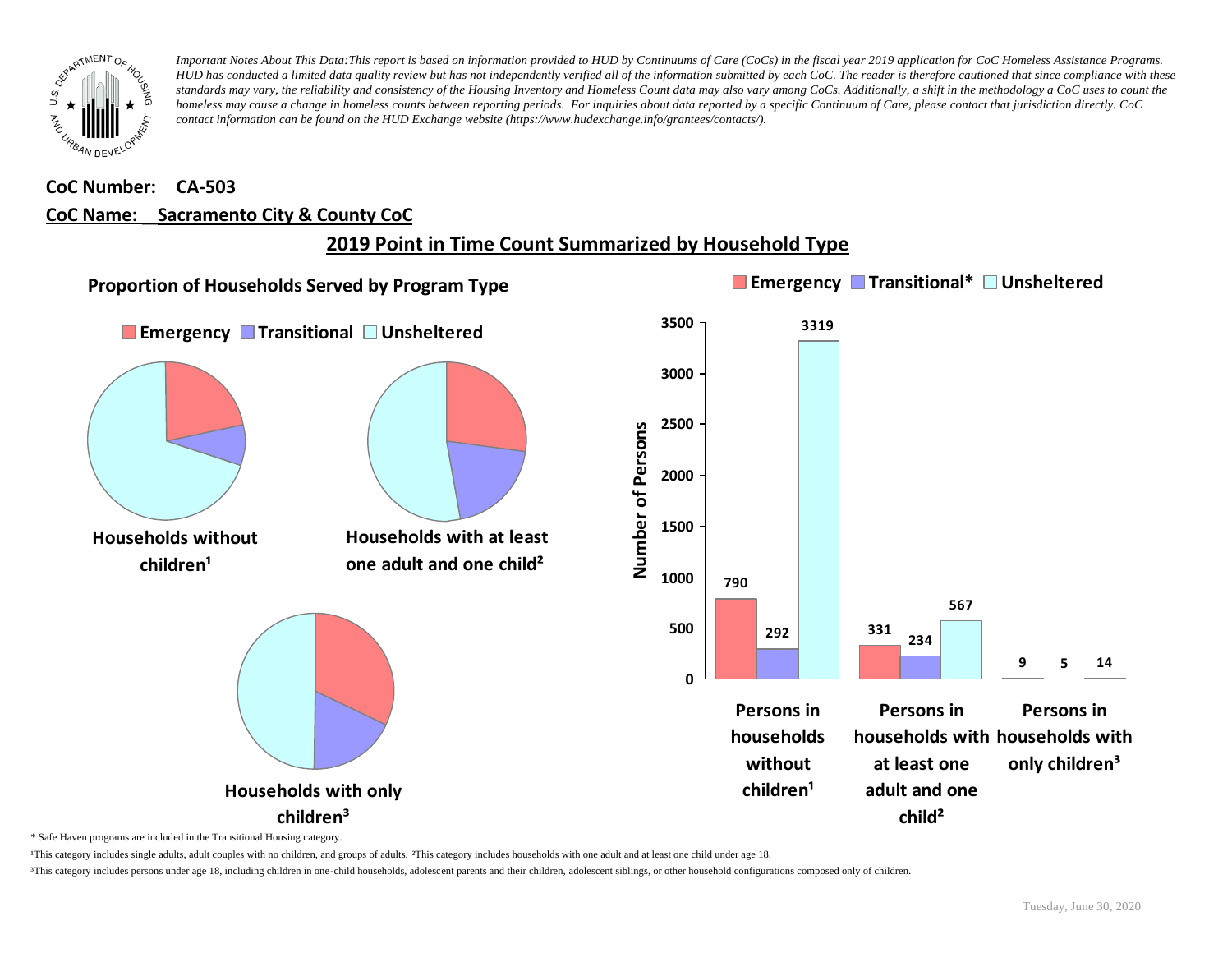

### **CoC Number: CA-503**

#### **CoC Name: \_\_ Sacramento City & County CoC**

# **2019 Point in Time Count Summarized by Household Type**



\* Safe Haven programs are included in the Transitional Housing category.

¹This category includes single adults, adult couples with no children, and groups of adults. ²This category includes households with one adult and at least one child under age 18.

³This category includes persons under age 18, including children in one-child households, adolescent parents and their children, adolescent siblings, or other household configurations composed only of children.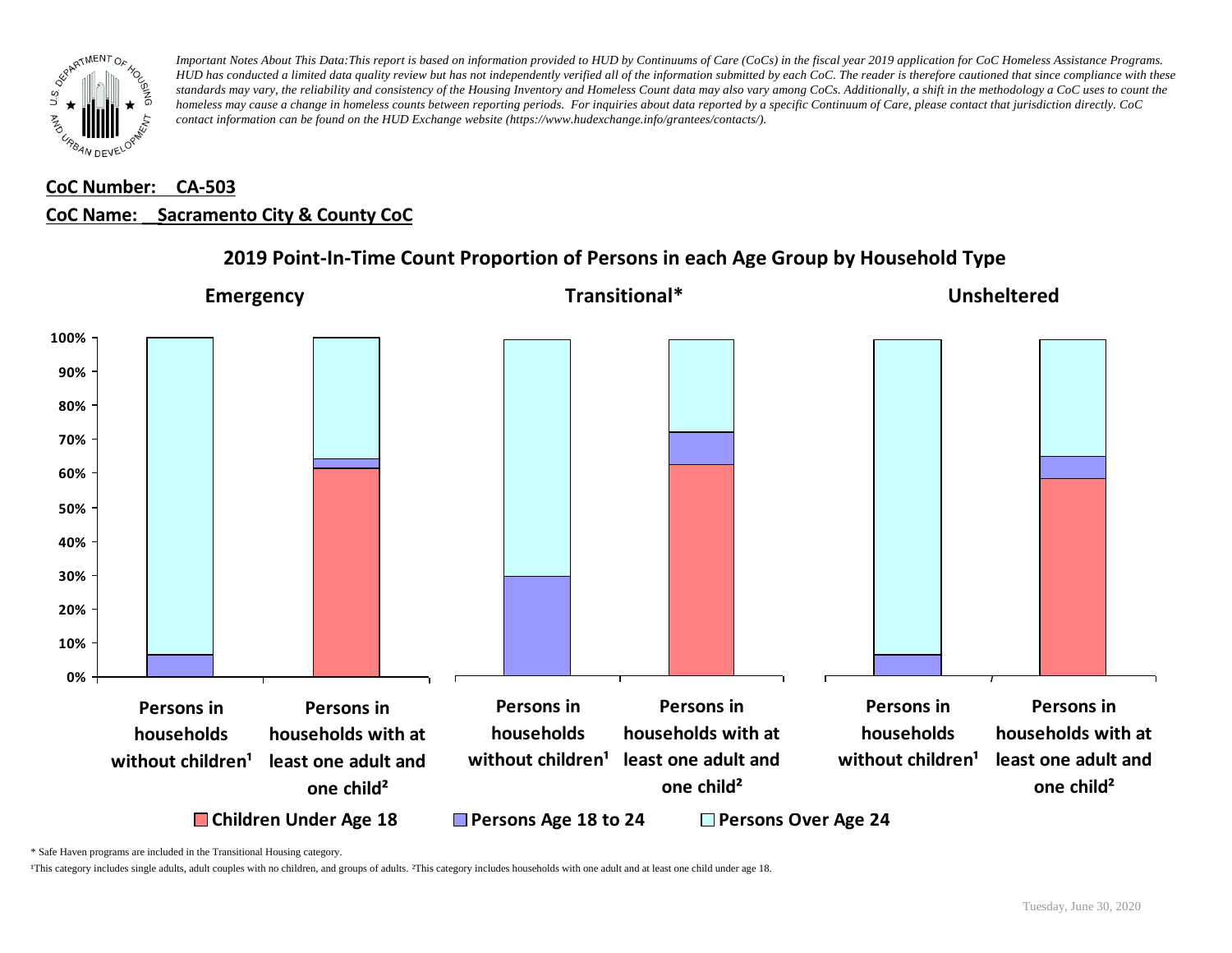

# **CoC Number: CA-503 CoC Name: \_\_ Sacramento City & County CoC**



## **2019 Point-In-Time Count Proportion of Persons in each Age Group by Household Type**

\* Safe Haven programs are included in the Transitional Housing category.

¹This category includes single adults, adult couples with no children, and groups of adults. ²This category includes households with one adult and at least one child under age 18.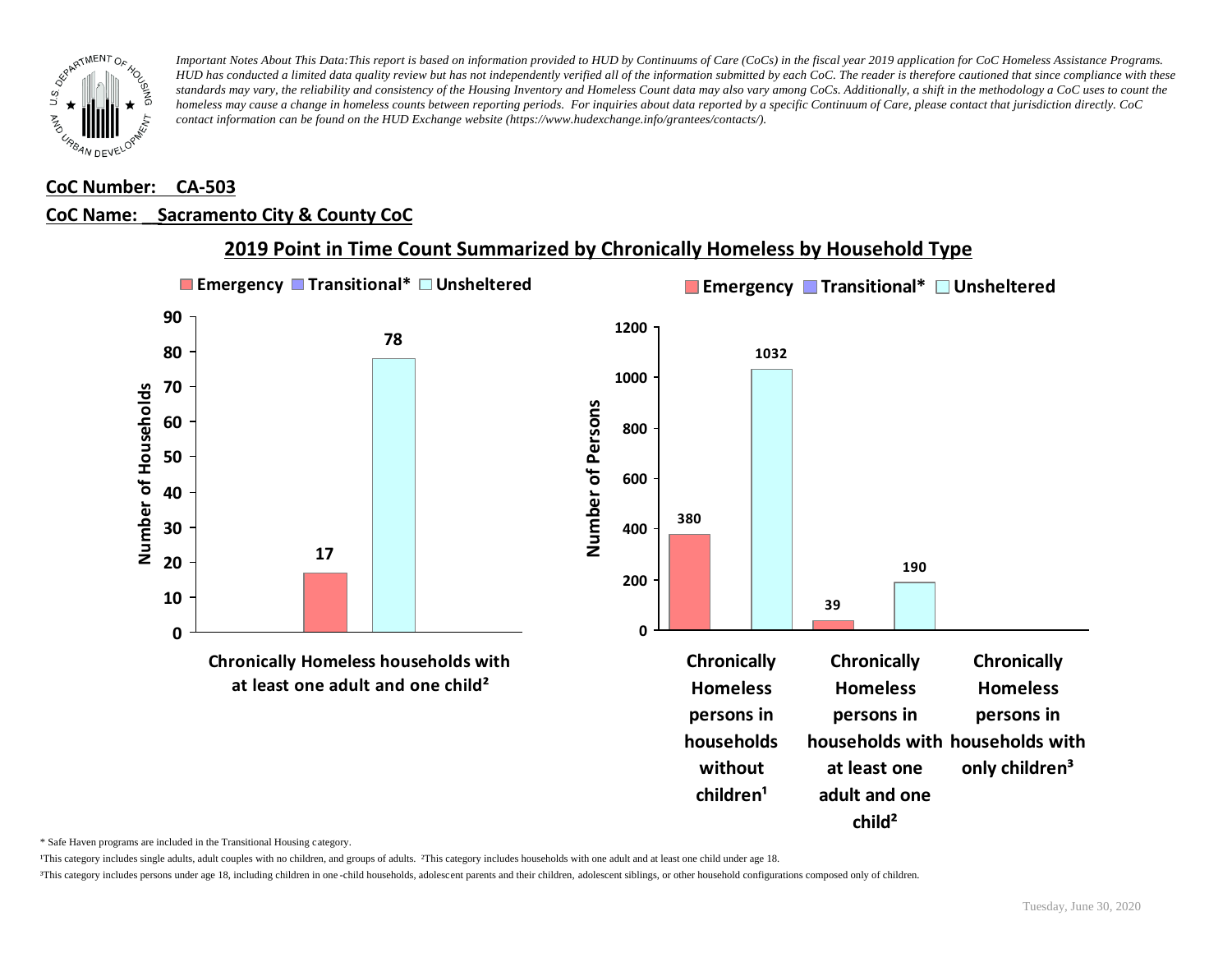

### **CoC Number: CA-503**

### **CoC Name: \_\_ Sacramento City & County CoC**



## **2019 Point in Time Count Summarized by Chronically Homeless by Household Type**

\* Safe Haven programs are included in the Transitional Housing category.

¹This category includes single adults, adult couples with no children, and groups of adults. ²This category includes households with one adult and at least one child under age 18.

³This category includes persons under age 18, including children in one -child households, adolescent parents and their children, adolescent siblings, or other household configurations composed only of children.